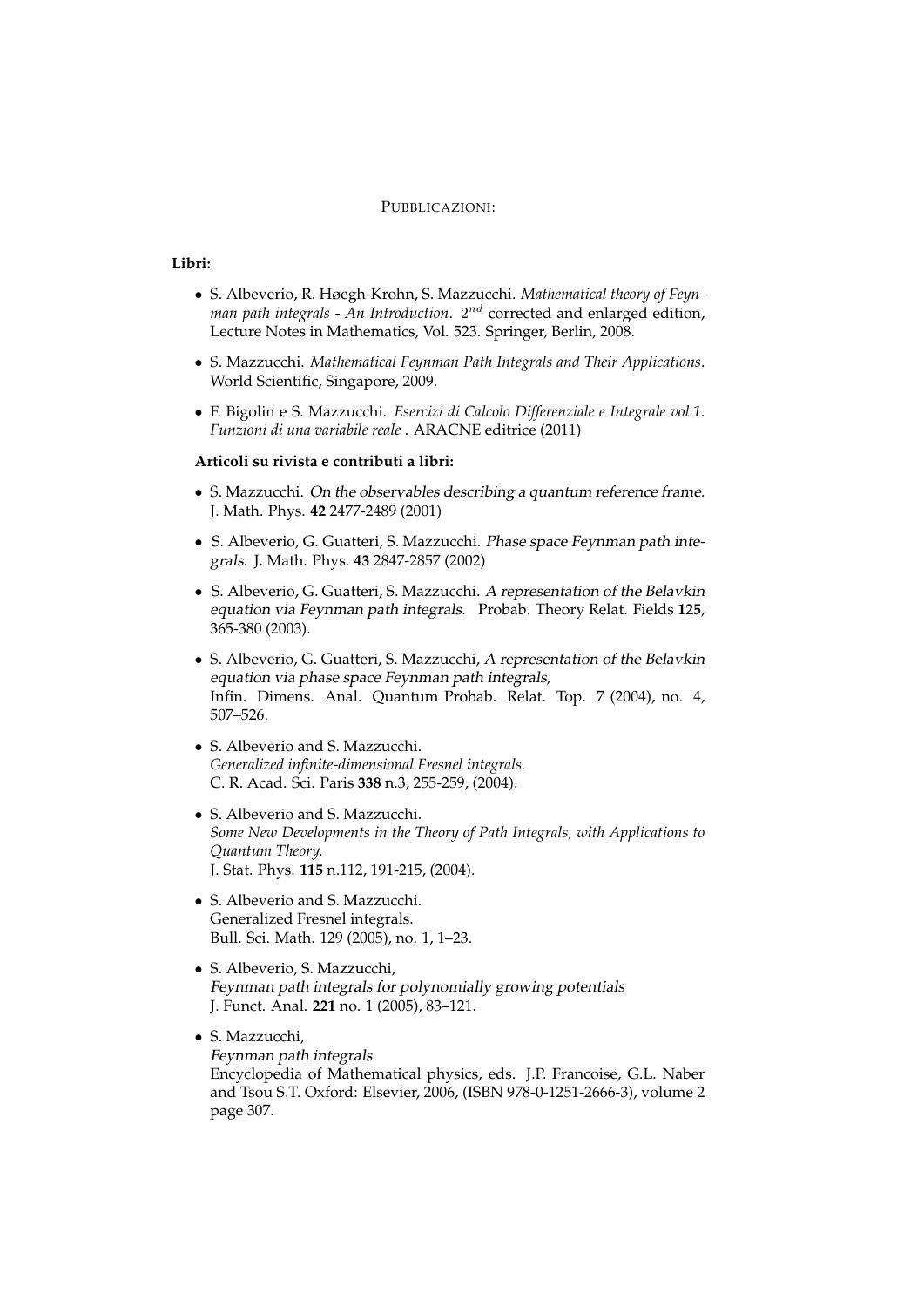#### PUBBLICAZIONI:

# **Libri:**

- S. Albeverio, R. Høegh-Krohn, S. Mazzucchi. *Mathematical theory of Feyn* $man$   $path$   $integ$ rals - An Introduction.  $2^{nd}$  corrected and enlarged edition, Lecture Notes in Mathematics, Vol. 523. Springer, Berlin, 2008.
- S. Mazzucchi. *Mathematical Feynman Path Integrals and Their Applications*. World Scientific, Singapore, 2009.
- F. Bigolin e S. Mazzucchi. *Esercizi di Calcolo Differenziale e Integrale vol.1. Funzioni di una variabile reale* . ARACNE editrice (2011)

#### **Articoli su rivista e contributi a libri:**

- S. Mazzucchi. On the observables describing a quantum reference frame. J. Math. Phys. **42** 2477-2489 (2001)
- S. Albeverio, G. Guatteri, S. Mazzucchi. Phase space Feynman path integrals. J. Math. Phys. **43** 2847-2857 (2002)
- S. Albeverio, G. Guatteri, S. Mazzucchi. A representation of the Belavkin equation via Feynman path integrals. Probab. Theory Relat. Fields **125**, 365-380 (2003).
- S. Albeverio, G. Guatteri, S. Mazzucchi, A representation of the Belavkin equation via phase space Feynman path integrals, Infin. Dimens. Anal. Quantum Probab. Relat. Top. 7 (2004), no. 4, 507–526.
- S. Albeverio and S. Mazzucchi. *Generalized infinite-dimensional Fresnel integrals.* C. R. Acad. Sci. Paris **338** n.3, 255-259, (2004).
- S. Albeverio and S. Mazzucchi. *Some New Developments in the Theory of Path Integrals, with Applications to Quantum Theory.* J. Stat. Phys. **115** n.112, 191-215, (2004).
- S. Albeverio and S. Mazzucchi. Generalized Fresnel integrals. Bull. Sci. Math. 129 (2005), no. 1, 1–23.
- S. Albeverio, S. Mazzucchi, Feynman path integrals for polynomially growing potentials J. Funct. Anal. **221** no. 1 (2005), 83–121.
- S. Mazzucchi, Feynman path integrals Encyclopedia of Mathematical physics, eds. J.P. Francoise, G.L. Naber and Tsou S.T. Oxford: Elsevier, 2006, (ISBN 978-0-1251-2666-3), volume 2 page 307.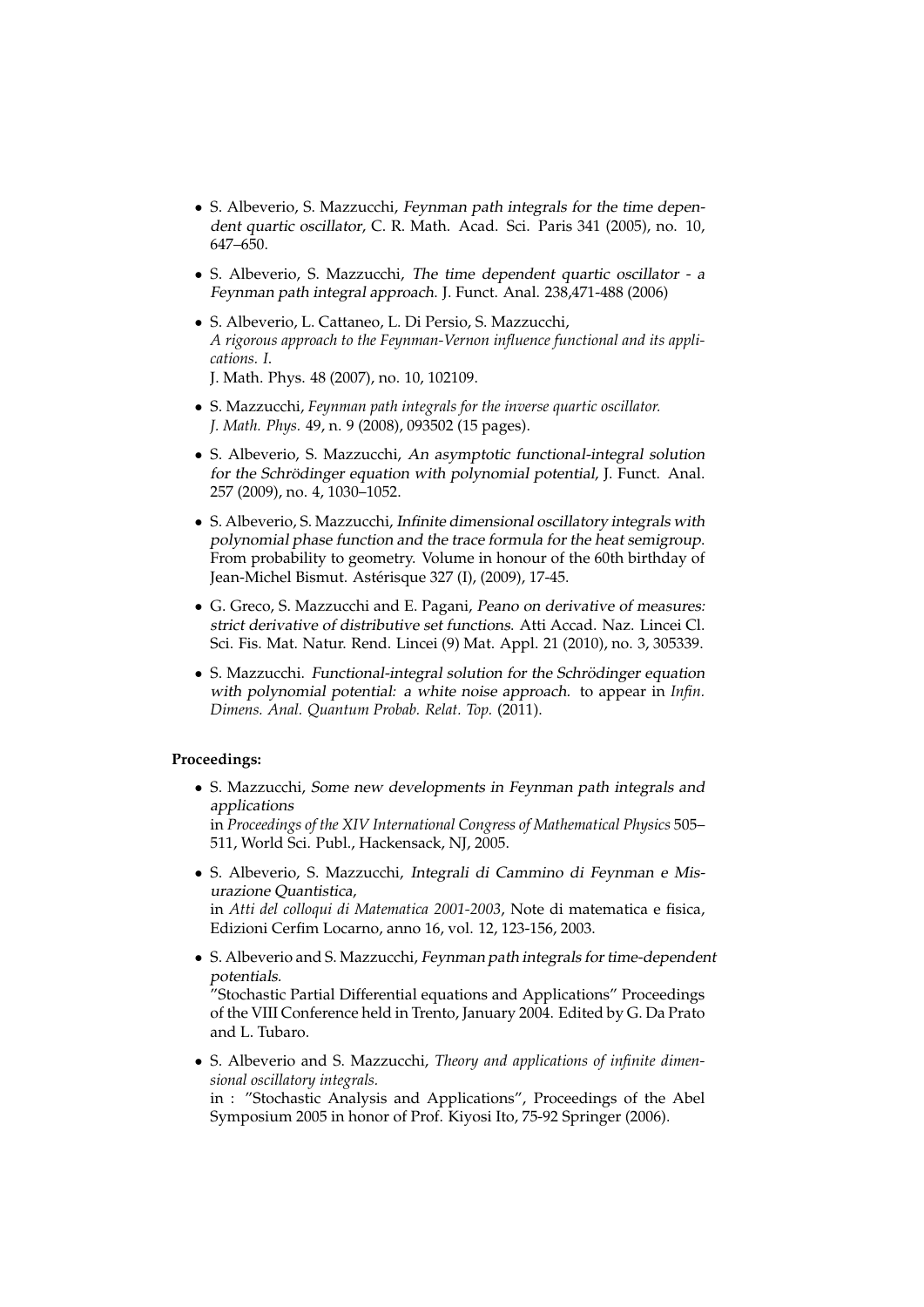- S. Albeverio, S. Mazzucchi, Feynman path integrals for the time dependent quartic oscillator, C. R. Math. Acad. Sci. Paris 341 (2005), no. 10, 647–650.
- S. Albeverio, S. Mazzucchi, The time dependent quartic oscillator a Feynman path integral approach. J. Funct. Anal. 238,471-488 (2006)
- S. Albeverio, L. Cattaneo, L. Di Persio, S. Mazzucchi, *A rigorous approach to the Feynman-Vernon influence functional and its applications. I*. J. Math. Phys. 48 (2007), no. 10, 102109.
- S. Mazzucchi, *Feynman path integrals for the inverse quartic oscillator. J. Math. Phys.* 49, n. 9 (2008), 093502 (15 pages).
- S. Albeverio, S. Mazzucchi, An asymptotic functional-integral solution for the Schrödinger equation with polynomial potential, J. Funct. Anal. 257 (2009), no. 4, 1030–1052.
- S. Albeverio, S. Mazzucchi, Infinite dimensional oscillatory integrals with polynomial phase function and the trace formula for the heat semigroup. From probability to geometry. Volume in honour of the 60th birthday of Jean-Michel Bismut. Astérisque 327 (I), (2009), 17-45.
- G. Greco, S. Mazzucchi and E. Pagani, Peano on derivative of measures: strict derivative of distributive set functions. Atti Accad. Naz. Lincei Cl. Sci. Fis. Mat. Natur. Rend. Lincei (9) Mat. Appl. 21 (2010), no. 3, 305339.
- S. Mazzucchi. Functional-integral solution for the Schrödinger equation with polynomial potential: a white noise approach. to appear in *Infin. Dimens. Anal. Quantum Probab. Relat. Top.* (2011).

## **Proceedings:**

• S. Mazzucchi, Some new developments in Feynman path integrals and applications

in *Proceedings of the XIV International Congress of Mathematical Physics* 505– 511, World Sci. Publ., Hackensack, NJ, 2005.

• S. Albeverio, S. Mazzucchi, Integrali di Cammino di Feynman e Misurazione Quantistica, in *Atti del colloqui di Matematica 2001-2003*, Note di matematica e fisica,

Edizioni Cerfim Locarno, anno 16, vol. 12, 123-156, 2003.

• S. Albeverio and S. Mazzucchi, Feynman path integrals for time-dependent potentials.

"Stochastic Partial Differential equations and Applications" Proceedings of the VIII Conference held in Trento, January 2004. Edited by G. Da Prato and L. Tubaro.

• S. Albeverio and S. Mazzucchi, *Theory and applications of infinite dimensional oscillatory integrals.* in : "Stochastic Analysis and Applications", Proceedings of the Abel

Symposium 2005 in honor of Prof. Kiyosi Ito, 75-92 Springer (2006).